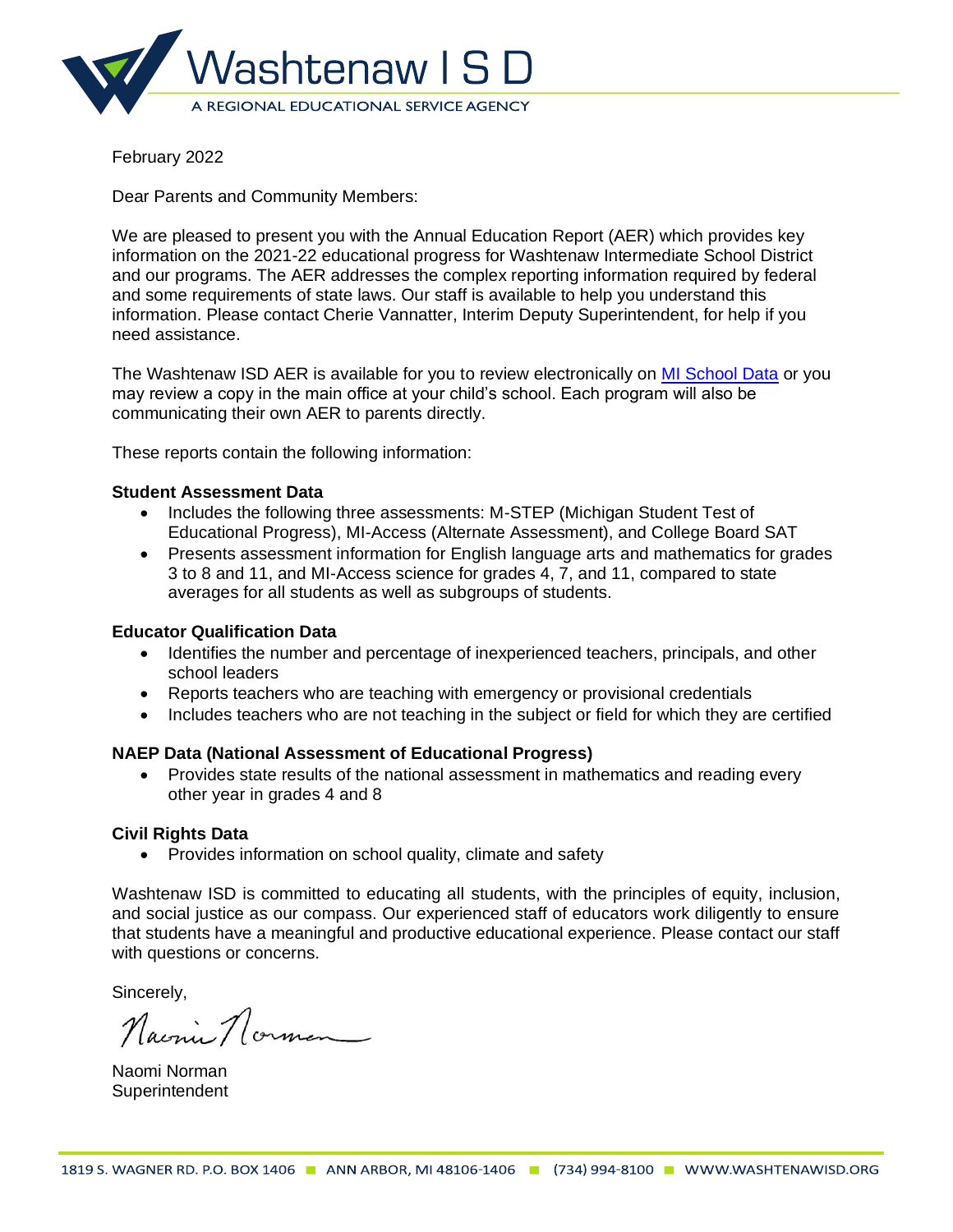

Dear Parents and Community Members:

We are pleased to present you with the Annual Education Report (AER) which provides key information on the 2021-22 educational progress for Washtenaw Intermediate School District and our programs. The AER addresses the complex reporting information required by federal and some requirements of state laws. Our staff is available to help you understand this information. Please contact Cherie Vannatter, Interim Deputy Superintendent, for help if you need assistance.

The Washtenaw ISD AER is available for you to review electronically on [MI School Data](https://bit.ly/3uGgsLS) or you may review a copy in the main office at your child's school. Each program will also be communicating their own AER to parents directly.

These reports contain the following information:

# **Student Assessment Data**

- Includes the following three assessments: M-STEP (Michigan Student Test of Educational Progress), MI-Access (Alternate Assessment), and College Board SAT
- Presents assessment information for English language arts and mathematics for grades 3 to 8 and 11, and MI-Access science for grades 4, 7, and 11, compared to state averages for all students as well as subgroups of students.

# **Educator Qualification Data**

- Identifies the number and percentage of inexperienced teachers, principals, and other school leaders
- Reports teachers who are teaching with emergency or provisional credentials
- Includes teachers who are not teaching in the subject or field for which they are certified

# **NAEP Data (National Assessment of Educational Progress)**

• Provides state results of the national assessment in mathematics and reading every other year in grades 4 and 8

# **Civil Rights Data**

• Provides information on school quality, climate and safety

Washtenaw ISD is committed to educating all students, with the principles of equity, inclusion, and social justice as our compass. Our experienced staff of educators work diligently to ensure that students have a meaningful and productive educational experience. Please contact our staff with questions or concerns.

Sincerely,<br>Naconie Norman

Naomi Norman **Superintendent**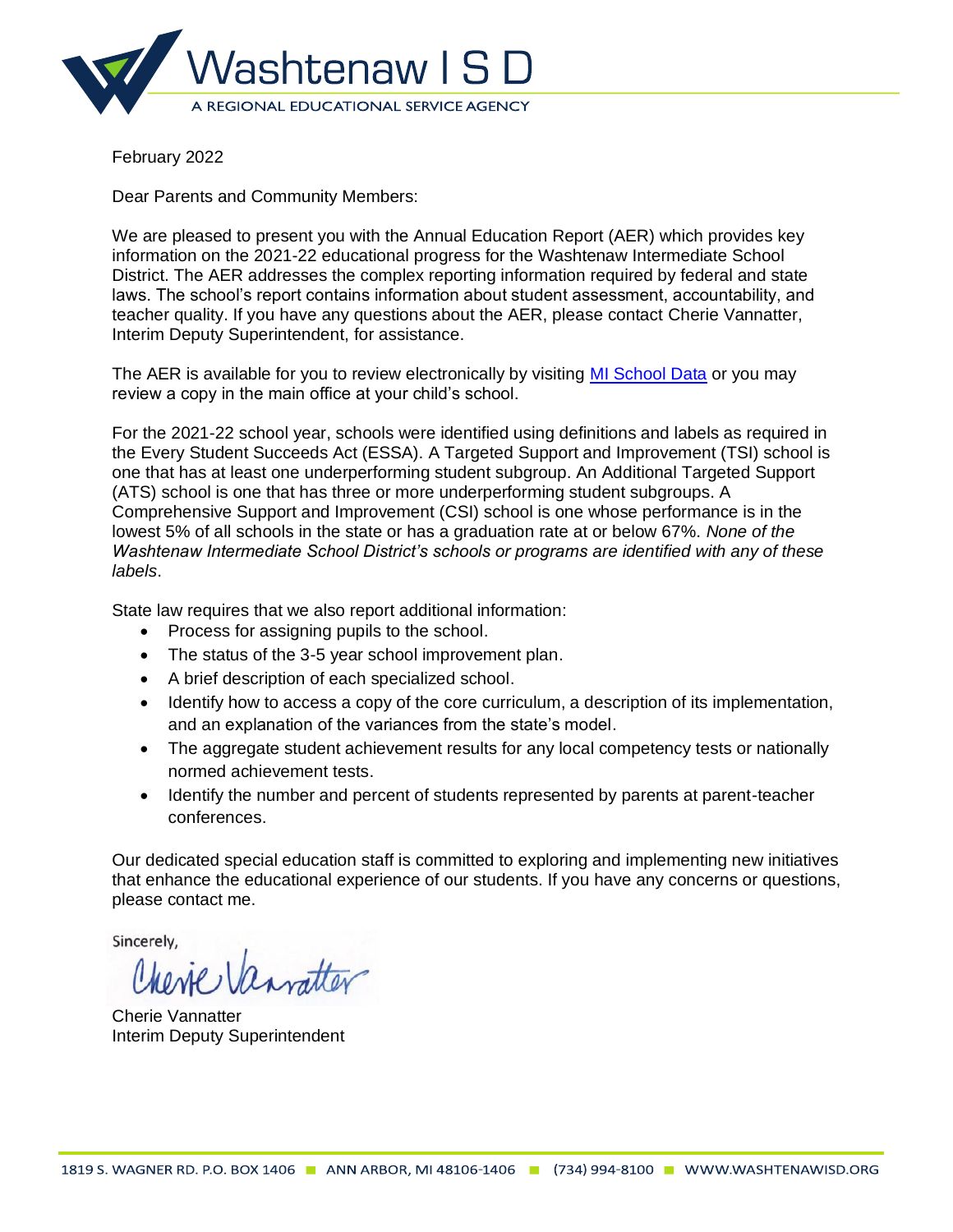

Dear Parents and Community Members:

We are pleased to present you with the Annual Education Report (AER) which provides key information on the 2021-22 educational progress for the Washtenaw Intermediate School District. The AER addresses the complex reporting information required by federal and state laws. The school's report contains information about student assessment, accountability, and teacher quality. If you have any questions about the AER, please contact Cherie Vannatter, Interim Deputy Superintendent, for assistance.

The AER is available for you to review electronically by visiting [MI School Data](https://bit.ly/3uGgsLS) or you may review a copy in the main office at your child's school.

For the 2021-22 school year, schools were identified using definitions and labels as required in the Every Student Succeeds Act (ESSA). A Targeted Support and Improvement (TSI) school is one that has at least one underperforming student subgroup. An Additional Targeted Support (ATS) school is one that has three or more underperforming student subgroups. A Comprehensive Support and Improvement (CSI) school is one whose performance is in the lowest 5% of all schools in the state or has a graduation rate at or below 67%. *None of the Washtenaw Intermediate School District's schools or programs are identified with any of these labels*.

State law requires that we also report additional information:

- Process for assigning pupils to the school.
- The status of the 3-5 year school improvement plan.
- A brief description of each specialized school.
- Identify how to access a copy of the core curriculum, a description of its implementation, and an explanation of the variances from the state's model.
- The aggregate student achievement results for any local competency tests or nationally normed achievement tests.
- Identify the number and percent of students represented by parents at parent-teacher conferences.

Our dedicated special education staff is committed to exploring and implementing new initiatives that enhance the educational experience of our students. If you have any concerns or questions, please contact me.

Sincerely.

Cherie Vannatter Interim Deputy Superintendent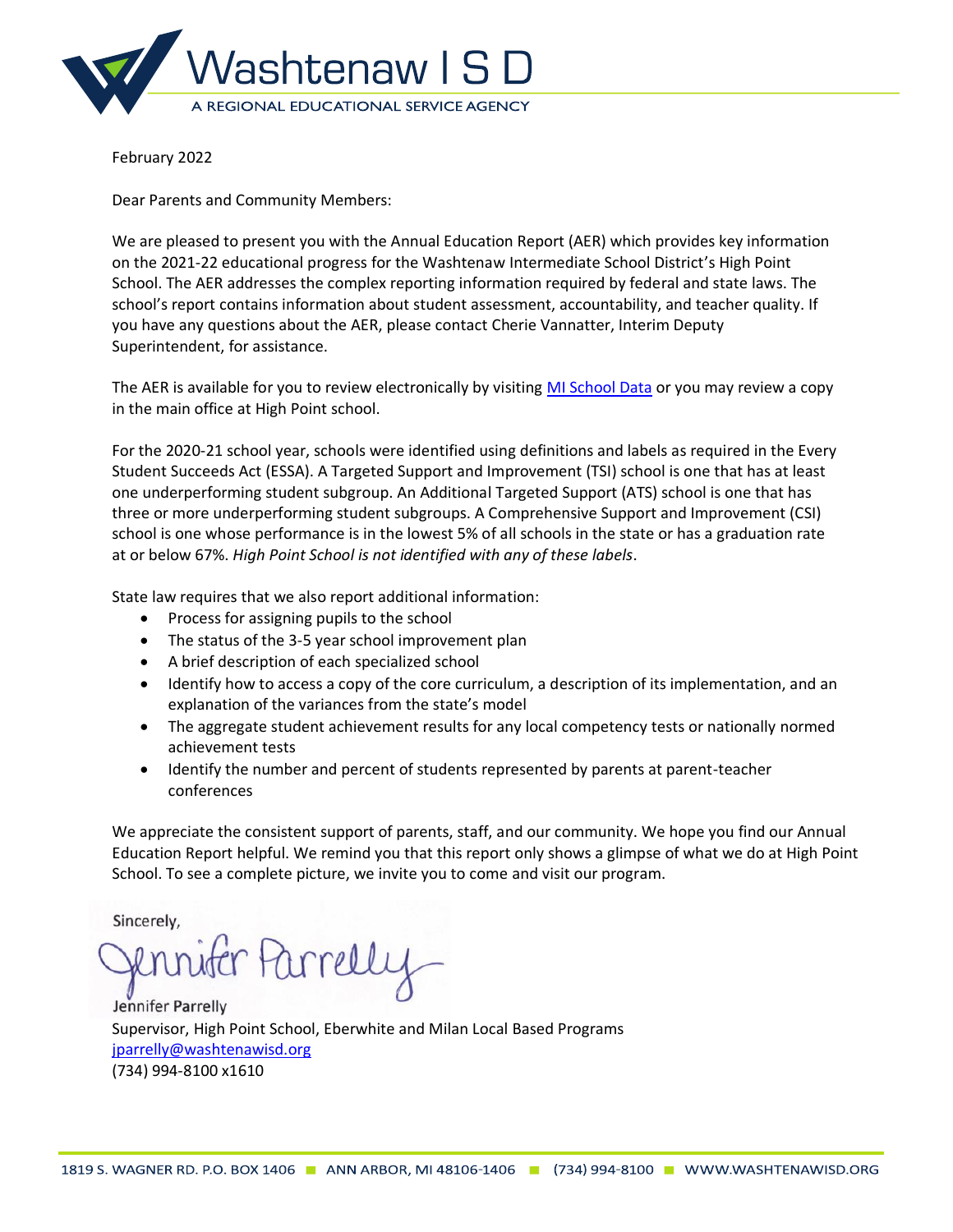

Dear Parents and Community Members:

We are pleased to present you with the Annual Education Report (AER) which provides key information on the 2021-22 educational progress for the Washtenaw Intermediate School District's High Point School. The AER addresses the complex reporting information required by federal and state laws. The school's report contains information about student assessment, accountability, and teacher quality. If you have any questions about the AER, please contact Cherie Vannatter, Interim Deputy Superintendent, for assistance.

The AER is available for you to review electronically by visiting [MI School Data](https://bit.ly/3gGsXPk) or you may review a copy in the main office at High Point school.

For the 2020-21 school year, schools were identified using definitions and labels as required in the Every Student Succeeds Act (ESSA). A Targeted Support and Improvement (TSI) school is one that has at least one underperforming student subgroup. An Additional Targeted Support (ATS) school is one that has three or more underperforming student subgroups. A Comprehensive Support and Improvement (CSI) school is one whose performance is in the lowest 5% of all schools in the state or has a graduation rate at or below 67%. *High Point School is not identified with any of these labels*.

State law requires that we also report additional information:

- Process for assigning pupils to the school
- The status of the 3-5 year school improvement plan
- A brief description of each specialized school
- Identify how to access a copy of the core curriculum, a description of its implementation, and an explanation of the variances from the state's model
- The aggregate student achievement results for any local competency tests or nationally normed achievement tests
- Identify the number and percent of students represented by parents at parent-teacher conferences

We appreciate the consistent support of parents, staff, and our community. We hope you find our Annual Education Report helpful. We remind you that this report only shows a glimpse of what we do at High Point School. To see a complete picture, we invite you to come and visit our program.

Sincerely,

Parrell

Jennifer Parrelly Supervisor, High Point School, Eberwhite and Milan Local Based Programs [jparrelly@washtenawisd.org](mailto:jparrelly@washtenawisd.org) (734) 994-8100 x1610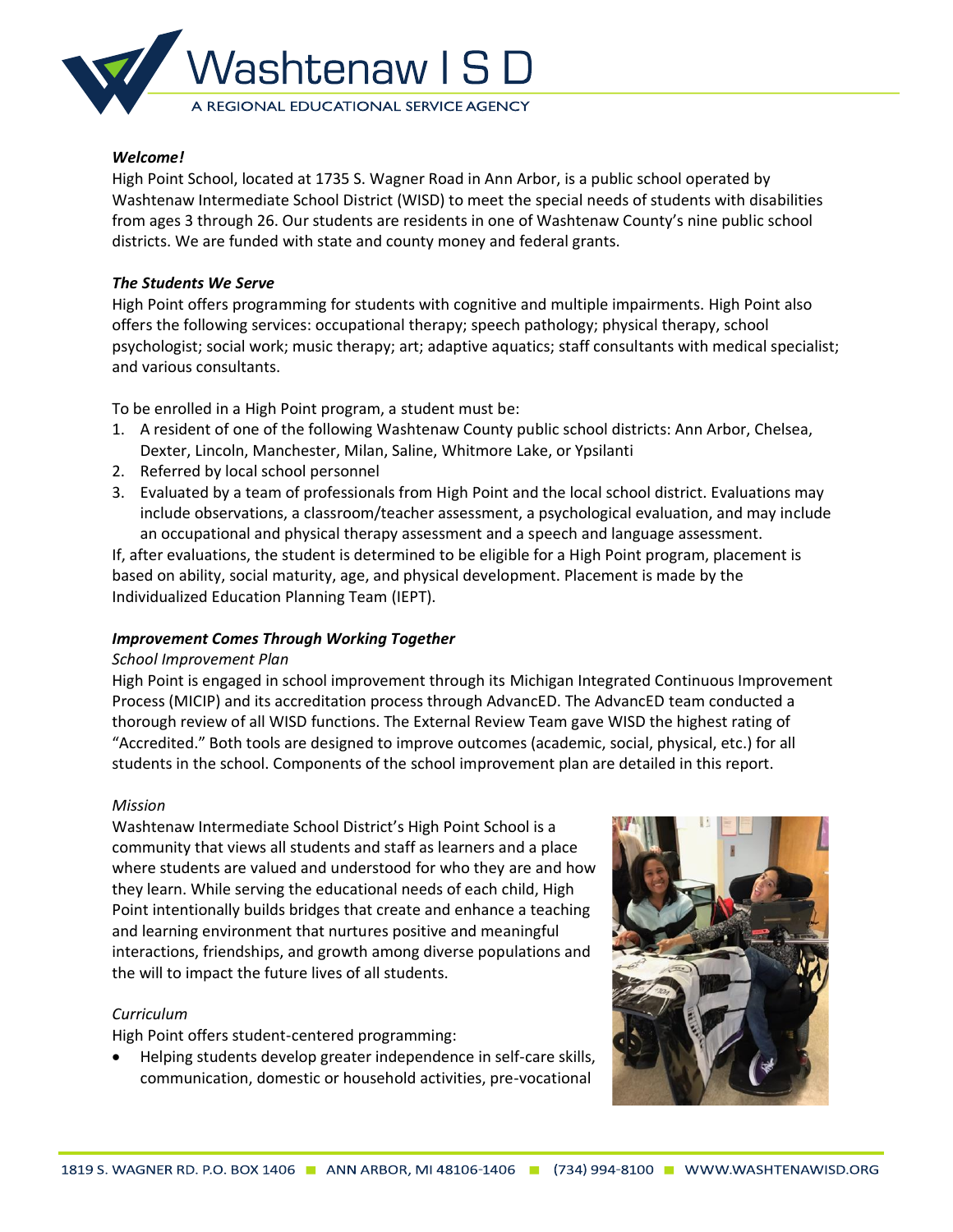

High Point School, located at 1735 S. Wagner Road in Ann Arbor, is a public school operated by Washtenaw Intermediate School District (WISD) to meet the special needs of students with disabilities from ages 3 through 26. Our students are residents in one of Washtenaw County's nine public school districts. We are funded with state and county money and federal grants.

## *The Students We Serve*

High Point offers programming for students with cognitive and multiple impairments. High Point also offers the following services: occupational therapy; speech pathology; physical therapy, school psychologist; social work; music therapy; art; adaptive aquatics; staff consultants with medical specialist; and various consultants.

To be enrolled in a High Point program, a student must be:

- 1. A resident of one of the following Washtenaw County public school districts: Ann Arbor, Chelsea, Dexter, Lincoln, Manchester, Milan, Saline, Whitmore Lake, or Ypsilanti
- 2. Referred by local school personnel
- 3. Evaluated by a team of professionals from High Point and the local school district. Evaluations may include observations, a classroom/teacher assessment, a psychological evaluation, and may include an occupational and physical therapy assessment and a speech and language assessment.

If, after evaluations, the student is determined to be eligible for a High Point program, placement is based on ability, social maturity, age, and physical development. Placement is made by the Individualized Education Planning Team (IEPT).

# *Improvement Comes Through Working Together*

### *School Improvement Plan*

High Point is engaged in school improvement through its Michigan Integrated Continuous Improvement Process (MICIP) and its accreditation process through AdvancED. The AdvancED team conducted a thorough review of all WISD functions. The External Review Team gave WISD the highest rating of "Accredited." Both tools are designed to improve outcomes (academic, social, physical, etc.) for all students in the school. Components of the school improvement plan are detailed in this report.

### *Mission*

Washtenaw Intermediate School District's High Point School is a community that views all students and staff as learners and a place where students are valued and understood for who they are and how they learn. While serving the educational needs of each child, High Point intentionally builds bridges that create and enhance a teaching and learning environment that nurtures positive and meaningful interactions, friendships, and growth among diverse populations and the will to impact the future lives of all students.

### *Curriculum*

High Point offers student-centered programming:

• Helping students develop greater independence in self-care skills, communication, domestic or household activities, pre-vocational

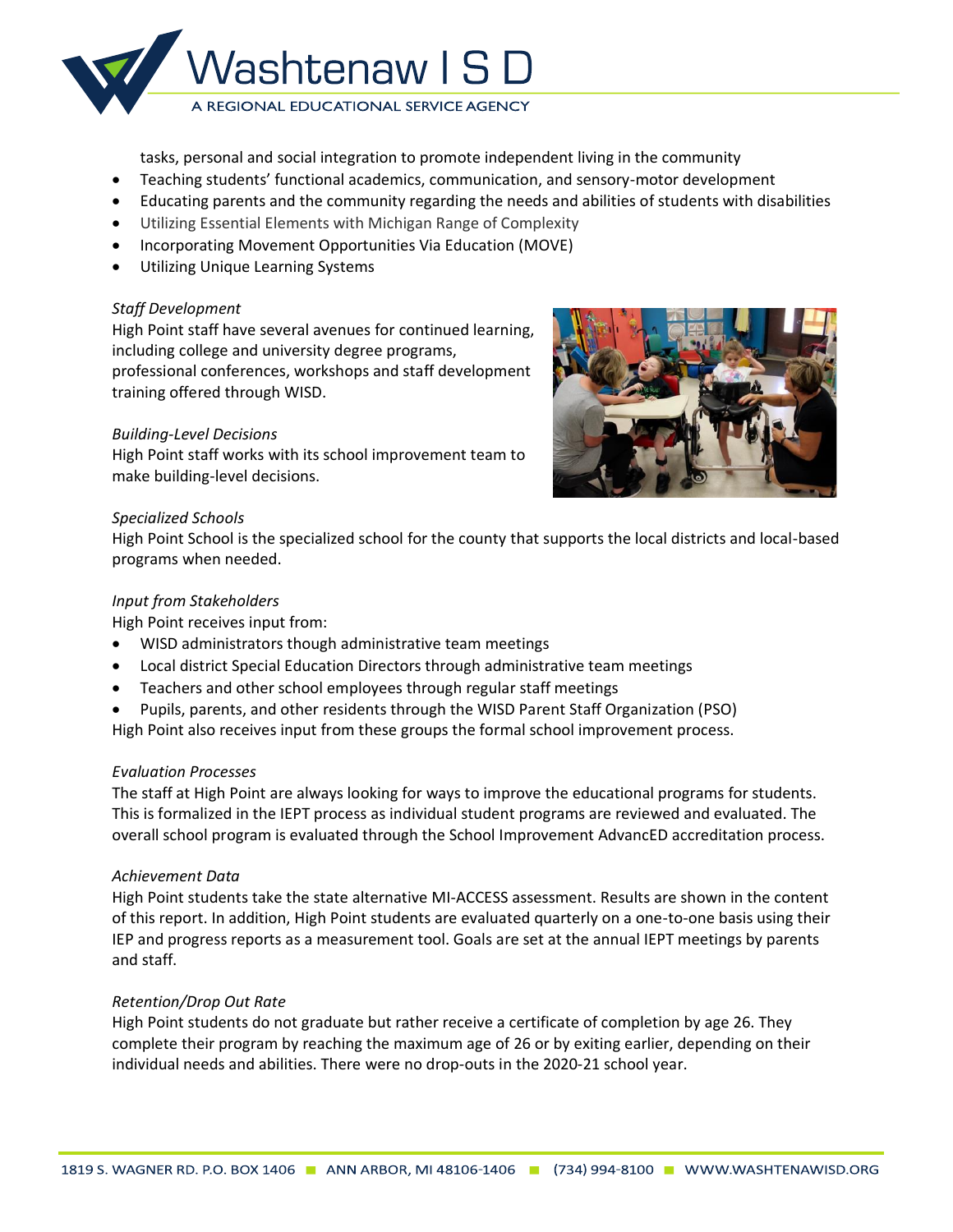

tasks, personal and social integration to promote independent living in the community

- Teaching students' functional academics, communication, and sensory-motor development
- Educating parents and the community regarding the needs and abilities of students with disabilities
- Utilizing Essential Elements with Michigan Range of Complexity
- Incorporating Movement Opportunities Via Education (MOVE)
- Utilizing Unique Learning Systems

## *Staff Development*

High Point staff have several avenues for continued learning, including college and university degree programs, professional conferences, workshops and staff development training offered through WISD.

# *Building-Level Decisions*

High Point staff works with its school improvement team to make building-level decisions.



## *Specialized Schools*

High Point School is the specialized school for the county that supports the local districts and local-based programs when needed.

## *Input from Stakeholders*

High Point receives input from:

- WISD administrators though administrative team meetings
- Local district Special Education Directors through administrative team meetings
- Teachers and other school employees through regular staff meetings
- Pupils, parents, and other residents through the WISD Parent Staff Organization (PSO)
- High Point also receives input from these groups the formal school improvement process.

# *Evaluation Processes*

The staff at High Point are always looking for ways to improve the educational programs for students. This is formalized in the IEPT process as individual student programs are reviewed and evaluated. The overall school program is evaluated through the School Improvement AdvancED accreditation process.

# *Achievement Data*

High Point students take the state alternative MI-ACCESS assessment. Results are shown in the content of this report. In addition, High Point students are evaluated quarterly on a one-to-one basis using their IEP and progress reports as a measurement tool. Goals are set at the annual IEPT meetings by parents and staff.

# *Retention/Drop Out Rate*

High Point students do not graduate but rather receive a certificate of completion by age 26. They complete their program by reaching the maximum age of 26 or by exiting earlier, depending on their individual needs and abilities. There were no drop-outs in the 2020-21 school year.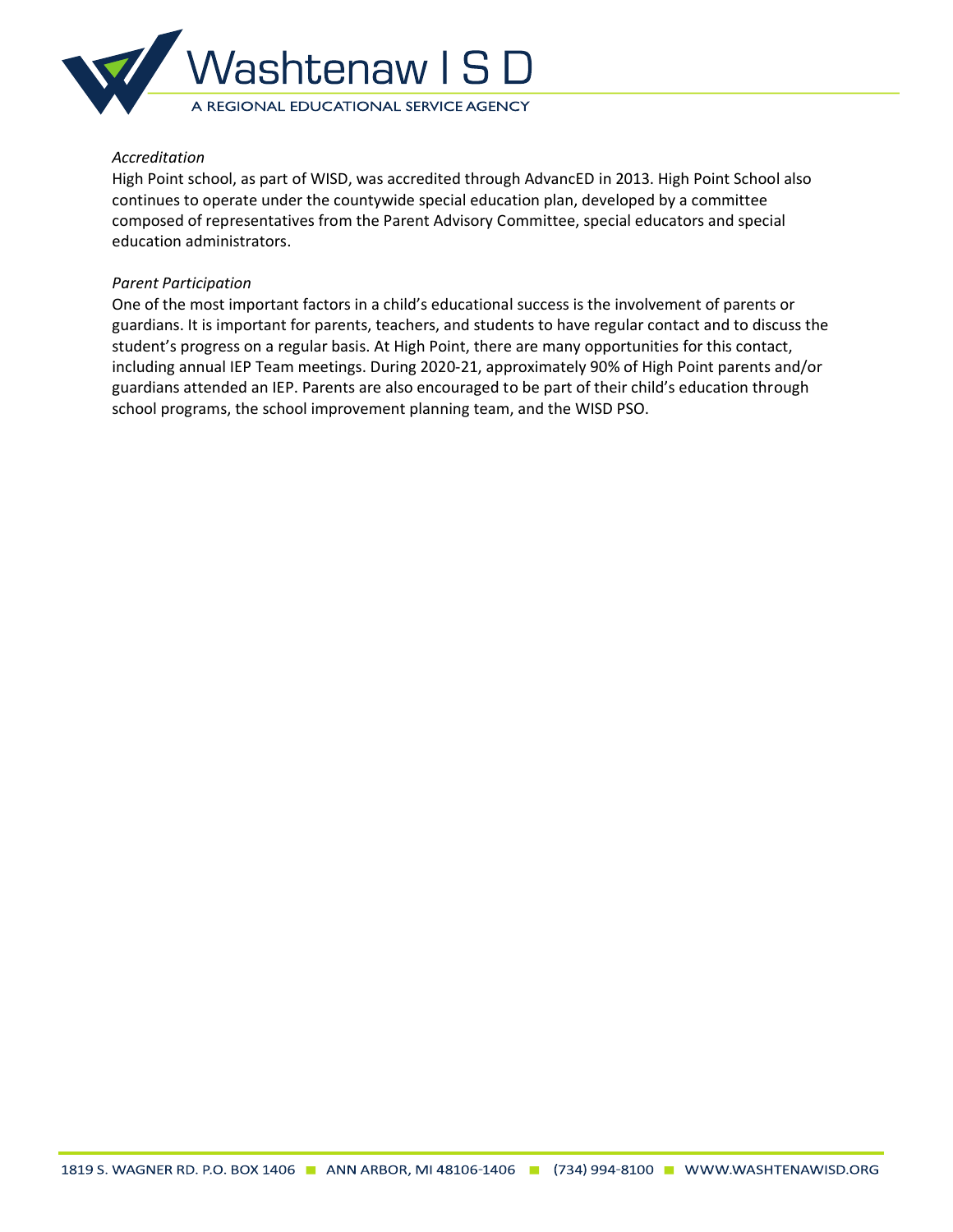

## *Accreditation*

High Point school, as part of WISD, was accredited through AdvancED in 2013. High Point School also continues to operate under the countywide special education plan, developed by a committee composed of representatives from the Parent Advisory Committee, special educators and special education administrators.

## *Parent Participation*

One of the most important factors in a child's educational success is the involvement of parents or guardians. It is important for parents, teachers, and students to have regular contact and to discuss the student's progress on a regular basis. At High Point, there are many opportunities for this contact, including annual IEP Team meetings. During 2020-21, approximately 90% of High Point parents and/or guardians attended an IEP. Parents are also encouraged to be part of their child's education through school programs, the school improvement planning team, and the WISD PSO.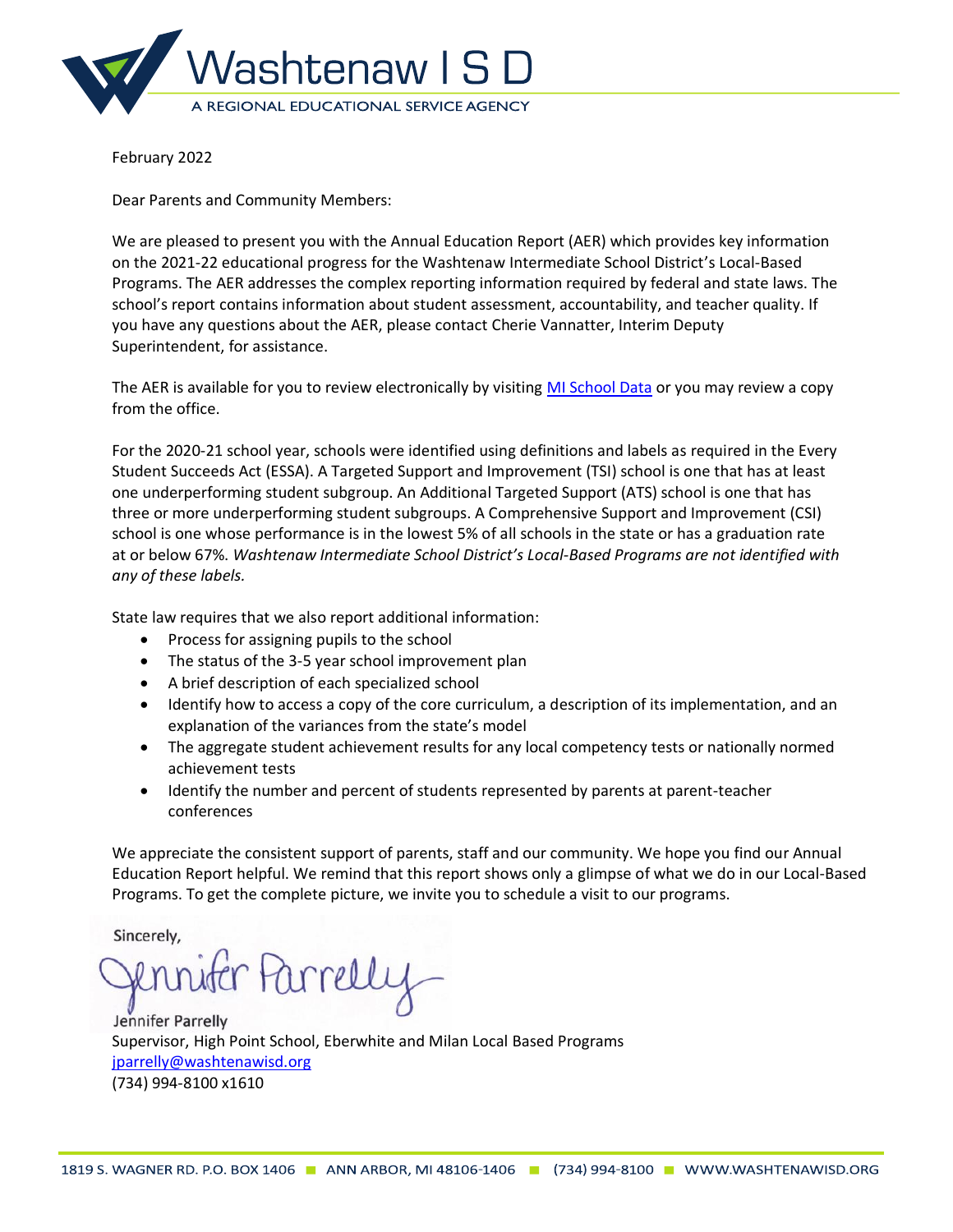

Dear Parents and Community Members:

We are pleased to present you with the Annual Education Report (AER) which provides key information on the 2021-22 educational progress for the Washtenaw Intermediate School District's Local-Based Programs. The AER addresses the complex reporting information required by federal and state laws. The school's report contains information about student assessment, accountability, and teacher quality. If you have any questions about the AER, please contact Cherie Vannatter, Interim Deputy Superintendent, for assistance.

The AER is available for you to review electronically by visiting [MI School Data](https://bit.ly/3rID3Wb) or you may review a copy from the office.

For the 2020-21 school year, schools were identified using definitions and labels as required in the Every Student Succeeds Act (ESSA). A Targeted Support and Improvement (TSI) school is one that has at least one underperforming student subgroup. An Additional Targeted Support (ATS) school is one that has three or more underperforming student subgroups. A Comprehensive Support and Improvement (CSI) school is one whose performance is in the lowest 5% of all schools in the state or has a graduation rate at or below 67%. *Washtenaw Intermediate School District's Local-Based Programs are not identified with any of these labels.*

State law requires that we also report additional information:

- Process for assigning pupils to the school
- The status of the 3-5 year school improvement plan
- A brief description of each specialized school
- Identify how to access a copy of the core curriculum, a description of its implementation, and an explanation of the variances from the state's model
- The aggregate student achievement results for any local competency tests or nationally normed achievement tests
- Identify the number and percent of students represented by parents at parent-teacher conferences

We appreciate the consistent support of parents, staff and our community. We hope you find our Annual Education Report helpful. We remind that this report shows only a glimpse of what we do in our Local-Based Programs. To get the complete picture, we invite you to schedule a visit to our programs.

Sincerely,

Parrelly

Jennifer Parrelly Supervisor, High Point School, Eberwhite and Milan Local Based Programs [jparrelly@washtenawisd.org](mailto:jparrelly@washtenawisd.org) (734) 994-8100 x1610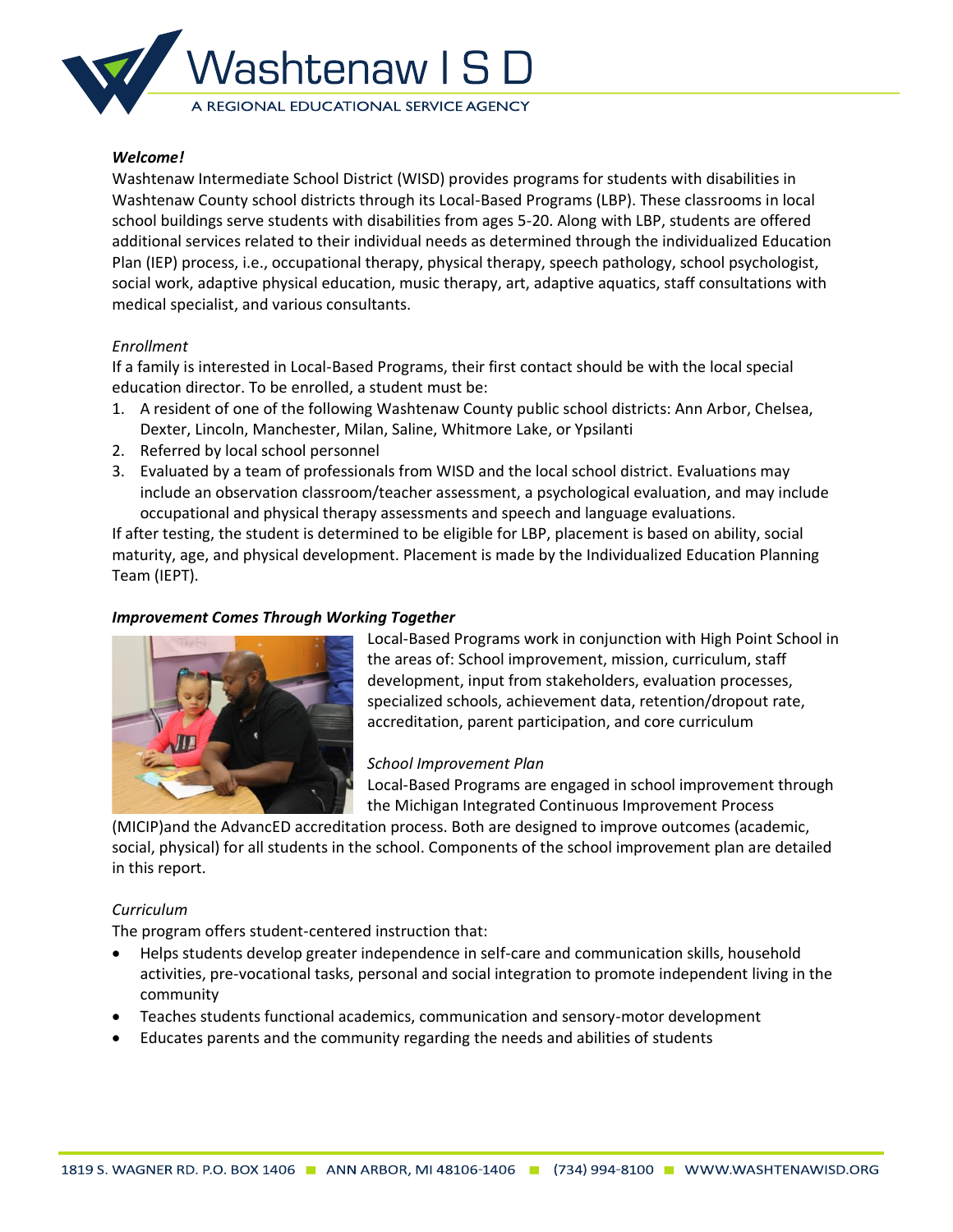

Washtenaw Intermediate School District (WISD) provides programs for students with disabilities in Washtenaw County school districts through its Local-Based Programs (LBP). These classrooms in local school buildings serve students with disabilities from ages 5-20. Along with LBP, students are offered additional services related to their individual needs as determined through the individualized Education Plan (IEP) process, i.e., occupational therapy, physical therapy, speech pathology, school psychologist, social work, adaptive physical education, music therapy, art, adaptive aquatics, staff consultations with medical specialist, and various consultants.

#### *Enrollment*

If a family is interested in Local-Based Programs, their first contact should be with the local special education director. To be enrolled, a student must be:

- 1. A resident of one of the following Washtenaw County public school districts: Ann Arbor, Chelsea, Dexter, Lincoln, Manchester, Milan, Saline, Whitmore Lake, or Ypsilanti
- 2. Referred by local school personnel
- 3. Evaluated by a team of professionals from WISD and the local school district. Evaluations may include an observation classroom/teacher assessment, a psychological evaluation, and may include occupational and physical therapy assessments and speech and language evaluations.

If after testing, the student is determined to be eligible for LBP, placement is based on ability, social maturity, age, and physical development. Placement is made by the Individualized Education Planning Team (IEPT).

### *Improvement Comes Through Working Together*



Local-Based Programs work in conjunction with High Point School in the areas of: School improvement, mission, curriculum, staff development, input from stakeholders, evaluation processes, specialized schools, achievement data, retention/dropout rate, accreditation, parent participation, and core curriculum

#### *School Improvement Plan*

Local-Based Programs are engaged in school improvement through the Michigan Integrated Continuous Improvement Process

(MICIP)and the AdvancED accreditation process. Both are designed to improve outcomes (academic, social, physical) for all students in the school. Components of the school improvement plan are detailed in this report.

#### *Curriculum*

The program offers student-centered instruction that:

- Helps students develop greater independence in self-care and communication skills, household activities, pre-vocational tasks, personal and social integration to promote independent living in the community
- Teaches students functional academics, communication and sensory-motor development
- Educates parents and the community regarding the needs and abilities of students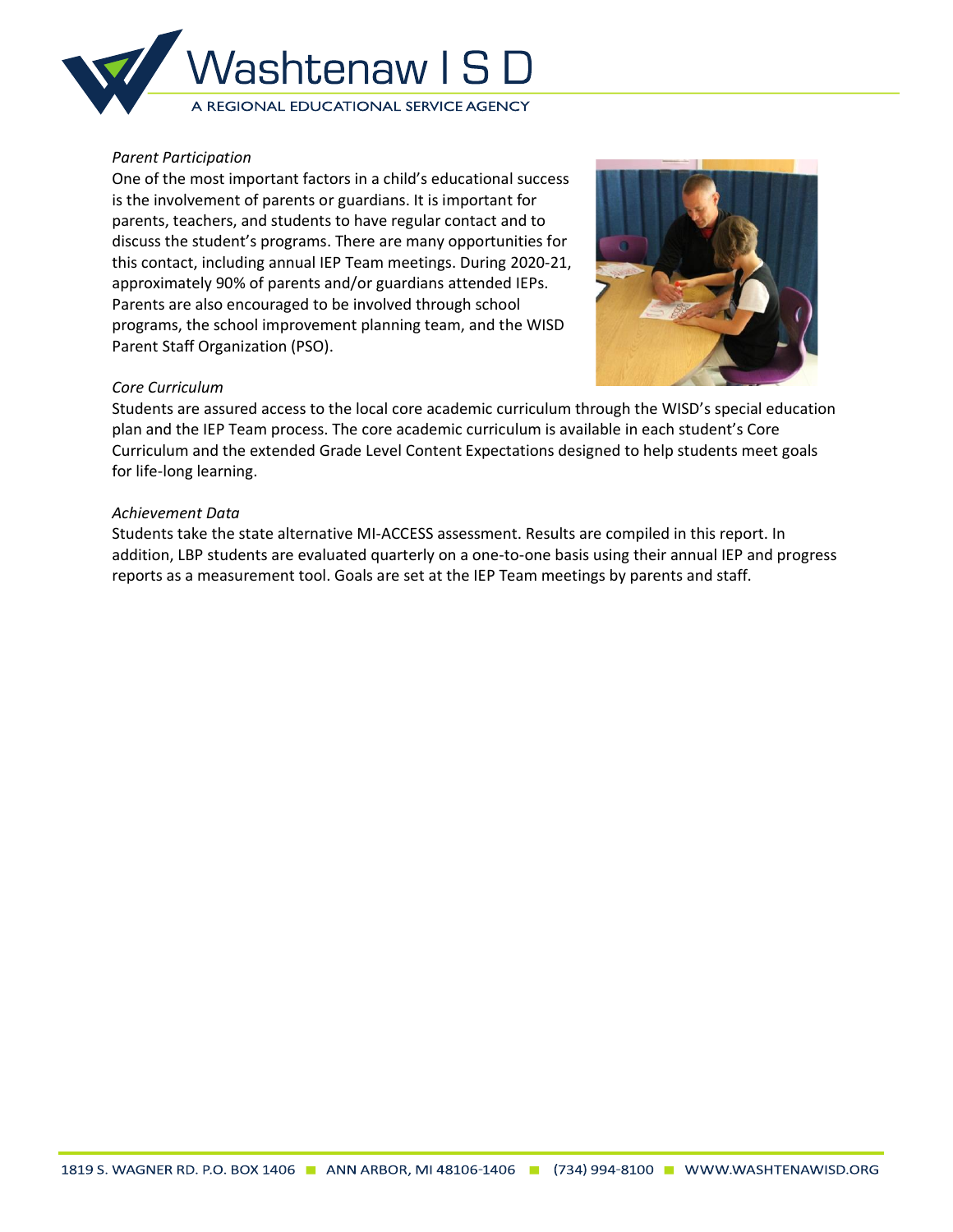

## *Parent Participation*

One of the most important factors in a child's educational success is the involvement of parents or guardians. It is important for parents, teachers, and students to have regular contact and to discuss the student's programs. There are many opportunities for this contact, including annual IEP Team meetings. During 2020-21, approximately 90% of parents and/or guardians attended IEPs. Parents are also encouraged to be involved through school programs, the school improvement planning team, and the WISD Parent Staff Organization (PSO).



## *Core Curriculum*

Students are assured access to the local core academic curriculum through the WISD's special education plan and the IEP Team process. The core academic curriculum is available in each student's Core Curriculum and the extended Grade Level Content Expectations designed to help students meet goals for life-long learning.

## *Achievement Data*

Students take the state alternative MI-ACCESS assessment. Results are compiled in this report. In addition, LBP students are evaluated quarterly on a one-to-one basis using their annual IEP and progress reports as a measurement tool. Goals are set at the IEP Team meetings by parents and staff.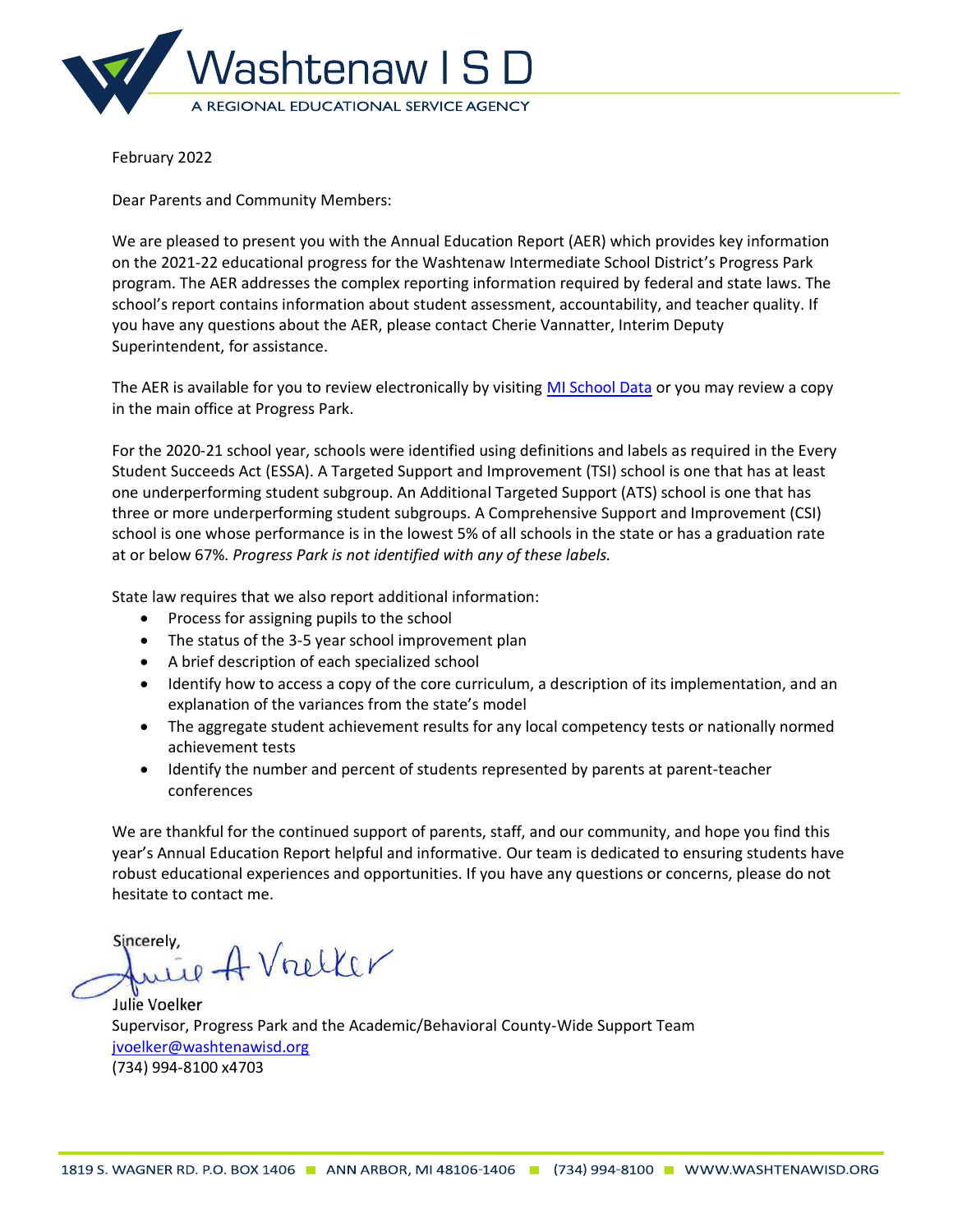

Dear Parents and Community Members:

We are pleased to present you with the Annual Education Report (AER) which provides key information on the 2021-22 educational progress for the Washtenaw Intermediate School District's Progress Park program. The AER addresses the complex reporting information required by federal and state laws. The school's report contains information about student assessment, accountability, and teacher quality. If you have any questions about the AER, please contact Cherie Vannatter, Interim Deputy Superintendent, for assistance.

The AER is available for you to review electronically by visiting [MI School Data](https://bit.ly/3BhJBhu) or you may review a copy in the main office at Progress Park.

For the 2020-21 school year, schools were identified using definitions and labels as required in the Every Student Succeeds Act (ESSA). A Targeted Support and Improvement (TSI) school is one that has at least one underperforming student subgroup. An Additional Targeted Support (ATS) school is one that has three or more underperforming student subgroups. A Comprehensive Support and Improvement (CSI) school is one whose performance is in the lowest 5% of all schools in the state or has a graduation rate at or below 67%. *Progress Park is not identified with any of these labels.*

State law requires that we also report additional information:

- Process for assigning pupils to the school
- The status of the 3-5 year school improvement plan
- A brief description of each specialized school
- Identify how to access a copy of the core curriculum, a description of its implementation, and an explanation of the variances from the state's model
- The aggregate student achievement results for any local competency tests or nationally normed achievement tests
- Identify the number and percent of students represented by parents at parent-teacher conferences

We are thankful for the continued support of parents, staff, and our community, and hope you find this year's Annual Education Report helpful and informative. Our team is dedicated to ensuring students have robust educational experiences and opportunities. If you have any questions or concerns, please do not hesitate to contact me.

Sincerely. rely,<br>uil A Vrelker

Julie Voelker Supervisor, Progress Park and the Academic/Behavioral County-Wide Support Team [jvoelker@washtenawisd.org](mailto:jvoelker@washtenawisd.org) (734) 994-8100 x4703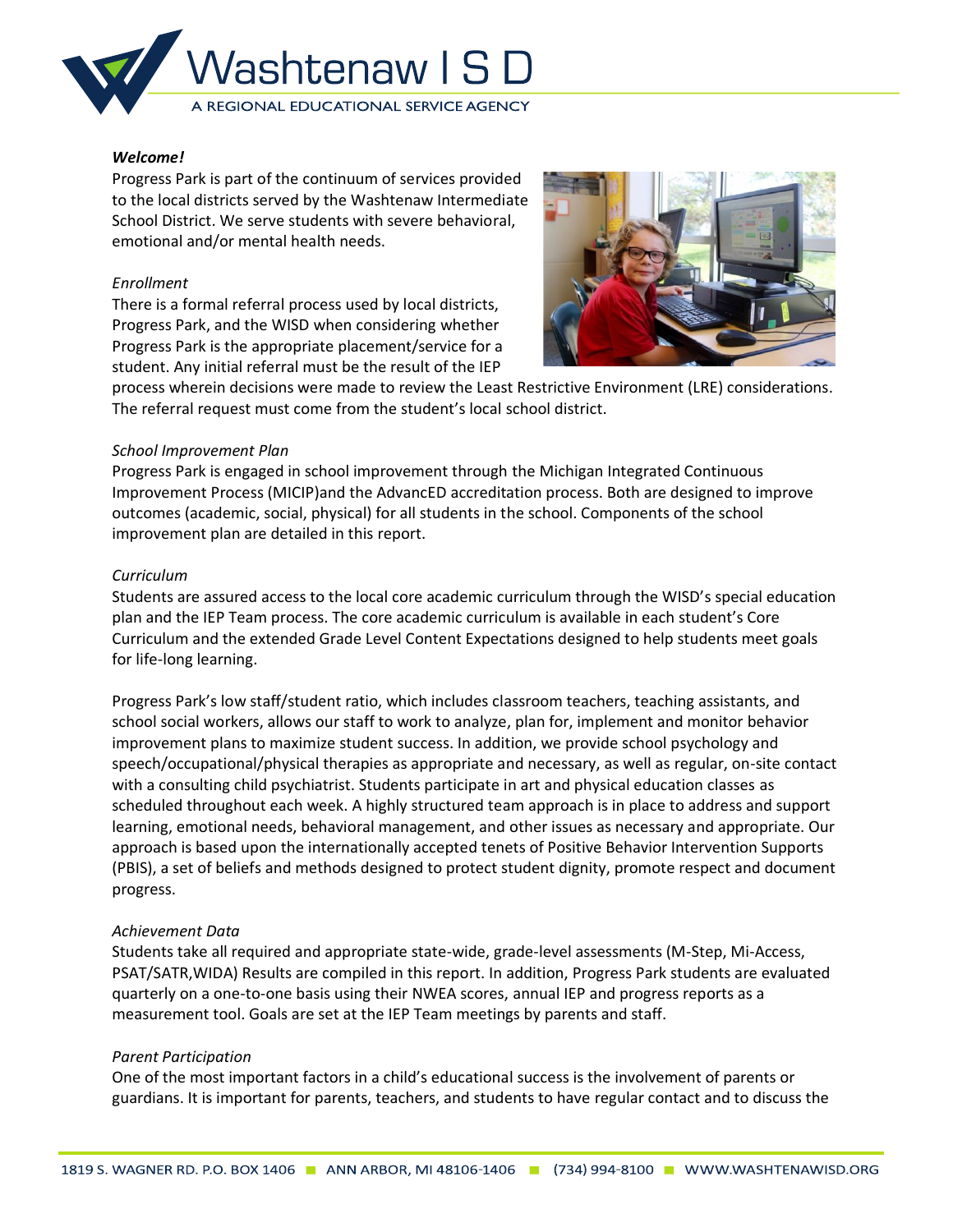

Progress Park is part of the continuum of services provided to the local districts served by the Washtenaw Intermediate School District. We serve students with severe behavioral, emotional and/or mental health needs.

#### *Enrollment*

There is a formal referral process used by local districts, Progress Park, and the WISD when considering whether Progress Park is the appropriate placement/service for a student. Any initial referral must be the result of the IEP



process wherein decisions were made to review the Least Restrictive Environment (LRE) considerations. The referral request must come from the student's local school district.

#### *School Improvement Plan*

Progress Park is engaged in school improvement through the Michigan Integrated Continuous Improvement Process (MICIP)and the AdvancED accreditation process. Both are designed to improve outcomes (academic, social, physical) for all students in the school. Components of the school improvement plan are detailed in this report.

#### *Curriculum*

Students are assured access to the local core academic curriculum through the WISD's special education plan and the IEP Team process. The core academic curriculum is available in each student's Core Curriculum and the extended Grade Level Content Expectations designed to help students meet goals for life-long learning.

Progress Park's low staff/student ratio, which includes classroom teachers, teaching assistants, and school social workers, allows our staff to work to analyze, plan for, implement and monitor behavior improvement plans to maximize student success. In addition, we provide school psychology and speech/occupational/physical therapies as appropriate and necessary, as well as regular, on-site contact with a consulting child psychiatrist. Students participate in art and physical education classes as scheduled throughout each week. A highly structured team approach is in place to address and support learning, emotional needs, behavioral management, and other issues as necessary and appropriate. Our approach is based upon the internationally accepted tenets of Positive Behavior Intervention Supports (PBIS), a set of beliefs and methods designed to protect student dignity, promote respect and document progress.

#### *Achievement Data*

Students take all required and appropriate state-wide, grade-level assessments (M-Step, Mi-Access, PSAT/SATR,WIDA) Results are compiled in this report. In addition, Progress Park students are evaluated quarterly on a one-to-one basis using their NWEA scores, annual IEP and progress reports as a measurement tool. Goals are set at the IEP Team meetings by parents and staff.

### *Parent Participation*

One of the most important factors in a child's educational success is the involvement of parents or guardians. It is important for parents, teachers, and students to have regular contact and to discuss the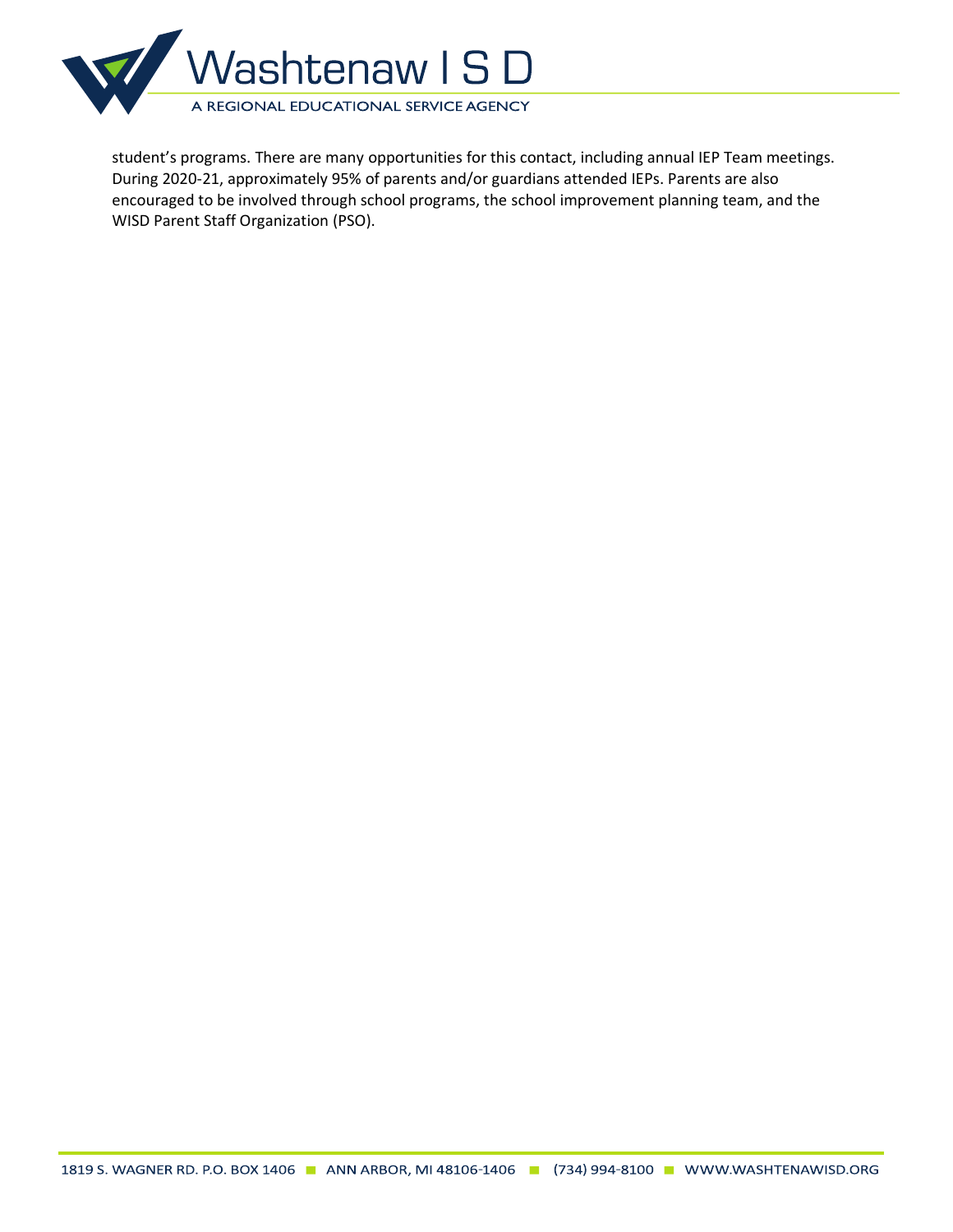

student's programs. There are many opportunities for this contact, including annual IEP Team meetings. During 2020-21, approximately 95% of parents and/or guardians attended IEPs. Parents are also encouraged to be involved through school programs, the school improvement planning team, and the WISD Parent Staff Organization (PSO).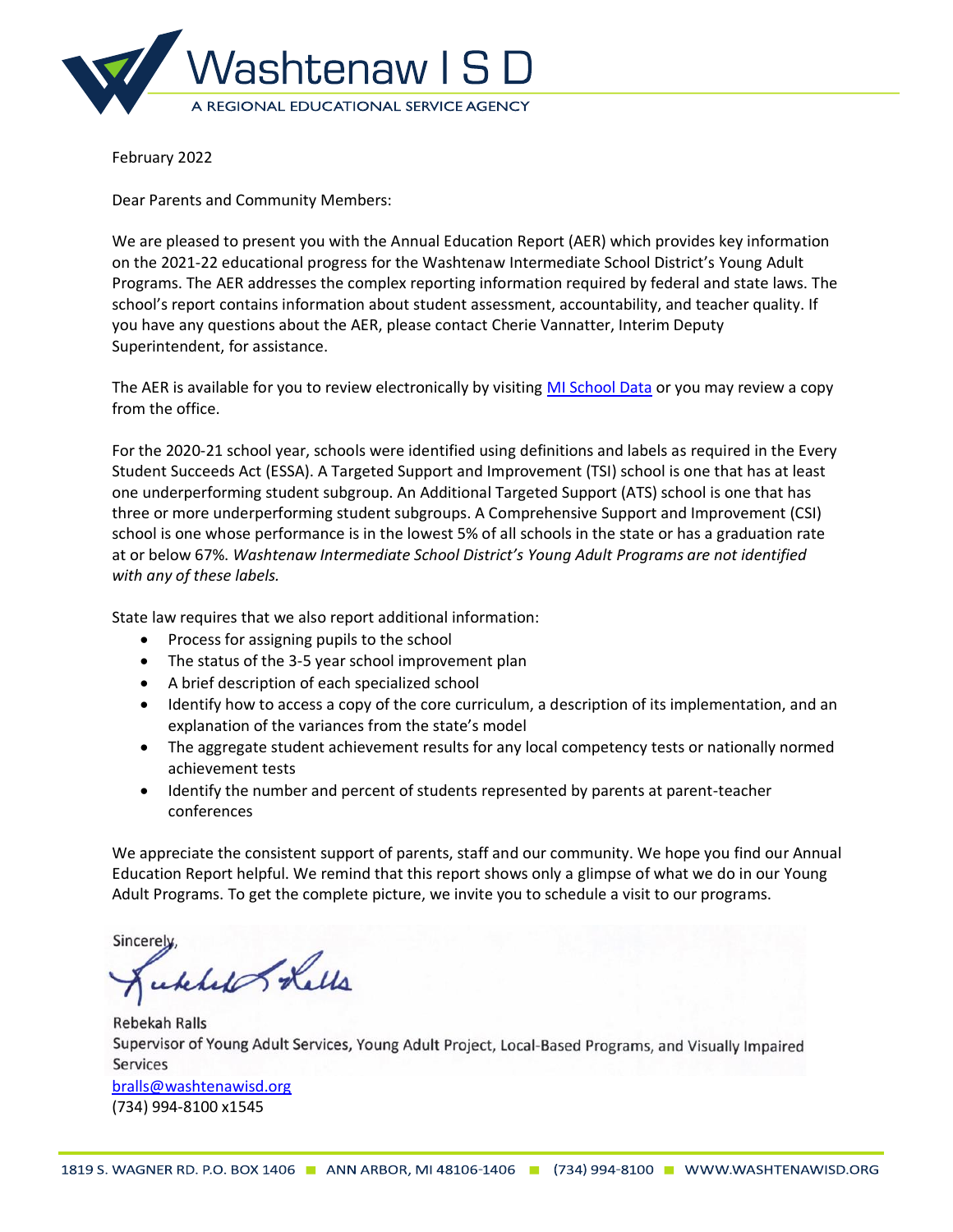

Dear Parents and Community Members:

We are pleased to present you with the Annual Education Report (AER) which provides key information on the 2021-22 educational progress for the Washtenaw Intermediate School District's Young Adult Programs. The AER addresses the complex reporting information required by federal and state laws. The school's report contains information about student assessment, accountability, and teacher quality. If you have any questions about the AER, please contact Cherie Vannatter, Interim Deputy Superintendent, for assistance.

The AER is available for you to review electronically by visiting [MI School Data](https://bit.ly/3LoJVQx) or you may review a copy from the office.

For the 2020-21 school year, schools were identified using definitions and labels as required in the Every Student Succeeds Act (ESSA). A Targeted Support and Improvement (TSI) school is one that has at least one underperforming student subgroup. An Additional Targeted Support (ATS) school is one that has three or more underperforming student subgroups. A Comprehensive Support and Improvement (CSI) school is one whose performance is in the lowest 5% of all schools in the state or has a graduation rate at or below 67%. *Washtenaw Intermediate School District's Young Adult Programs are not identified with any of these labels.*

State law requires that we also report additional information:

- Process for assigning pupils to the school
- The status of the 3-5 year school improvement plan
- A brief description of each specialized school
- Identify how to access a copy of the core curriculum, a description of its implementation, and an explanation of the variances from the state's model
- The aggregate student achievement results for any local competency tests or nationally normed achievement tests
- Identify the number and percent of students represented by parents at parent-teacher conferences

We appreciate the consistent support of parents, staff and our community. We hope you find our Annual Education Report helpful. We remind that this report shows only a glimpse of what we do in our Young Adult Programs. To get the complete picture, we invite you to schedule a visit to our programs.

Sincerely

ckhel Lells

**Rebekah Ralls** Supervisor of Young Adult Services, Young Adult Project, Local-Based Programs, and Visually Impaired **Services** [bralls@washtenawisd.org](mailto:bralls@washtenawisd.org) (734) 994-8100 x1545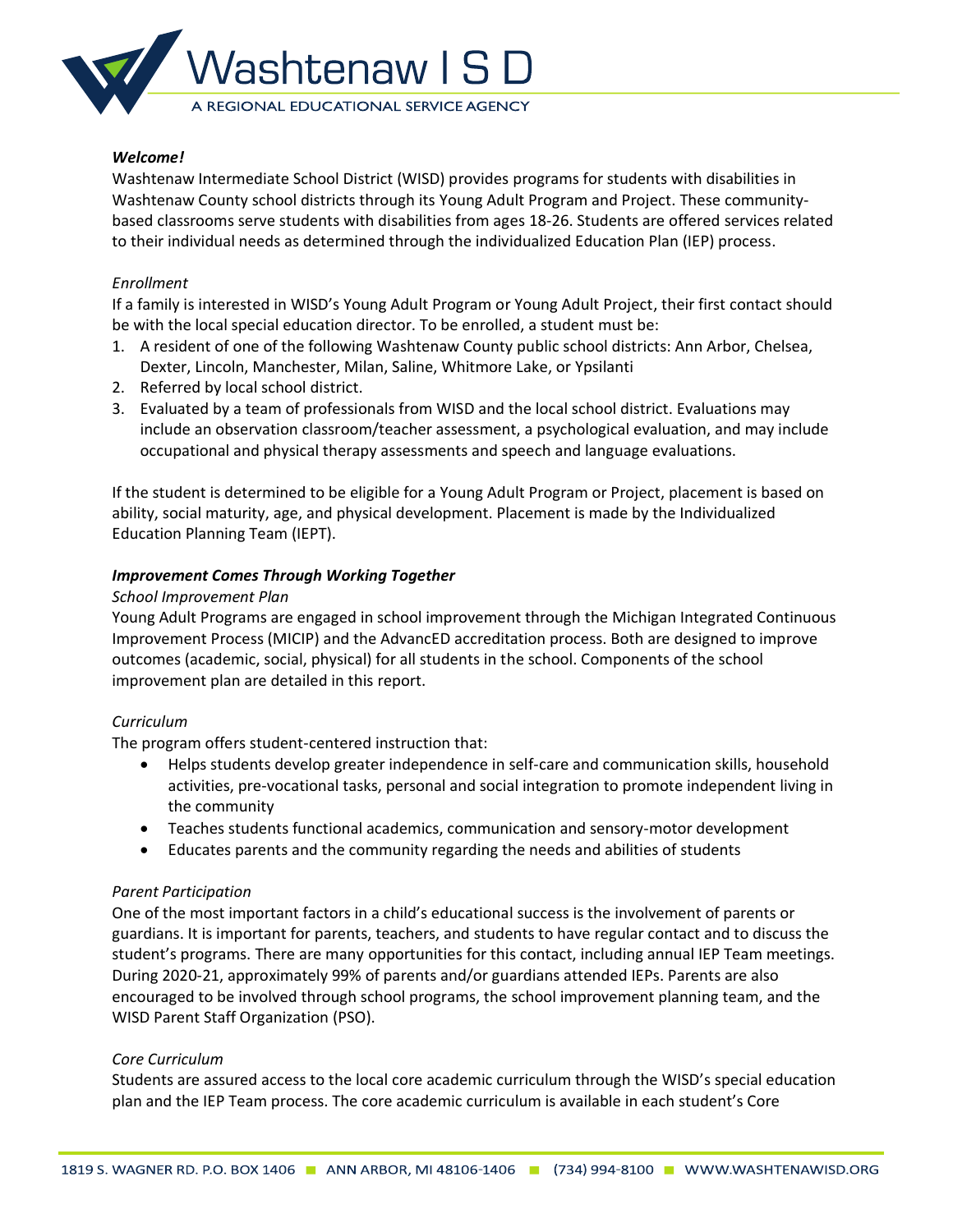

Washtenaw Intermediate School District (WISD) provides programs for students with disabilities in Washtenaw County school districts through its Young Adult Program and Project. These communitybased classrooms serve students with disabilities from ages 18-26. Students are offered services related to their individual needs as determined through the individualized Education Plan (IEP) process.

## *Enrollment*

If a family is interested in WISD's Young Adult Program or Young Adult Project, their first contact should be with the local special education director. To be enrolled, a student must be:

- 1. A resident of one of the following Washtenaw County public school districts: Ann Arbor, Chelsea, Dexter, Lincoln, Manchester, Milan, Saline, Whitmore Lake, or Ypsilanti
- 2. Referred by local school district.
- 3. Evaluated by a team of professionals from WISD and the local school district. Evaluations may include an observation classroom/teacher assessment, a psychological evaluation, and may include occupational and physical therapy assessments and speech and language evaluations.

If the student is determined to be eligible for a Young Adult Program or Project, placement is based on ability, social maturity, age, and physical development. Placement is made by the Individualized Education Planning Team (IEPT).

## *Improvement Comes Through Working Together*

### *School Improvement Plan*

Young Adult Programs are engaged in school improvement through the Michigan Integrated Continuous Improvement Process (MICIP) and the AdvancED accreditation process. Both are designed to improve outcomes (academic, social, physical) for all students in the school. Components of the school improvement plan are detailed in this report.

# *Curriculum*

The program offers student-centered instruction that:

- Helps students develop greater independence in self-care and communication skills, household activities, pre-vocational tasks, personal and social integration to promote independent living in the community
- Teaches students functional academics, communication and sensory-motor development
- Educates parents and the community regarding the needs and abilities of students

### *Parent Participation*

One of the most important factors in a child's educational success is the involvement of parents or guardians. It is important for parents, teachers, and students to have regular contact and to discuss the student's programs. There are many opportunities for this contact, including annual IEP Team meetings. During 2020-21, approximately 99% of parents and/or guardians attended IEPs. Parents are also encouraged to be involved through school programs, the school improvement planning team, and the WISD Parent Staff Organization (PSO).

### *Core Curriculum*

Students are assured access to the local core academic curriculum through the WISD's special education plan and the IEP Team process. The core academic curriculum is available in each student's Core